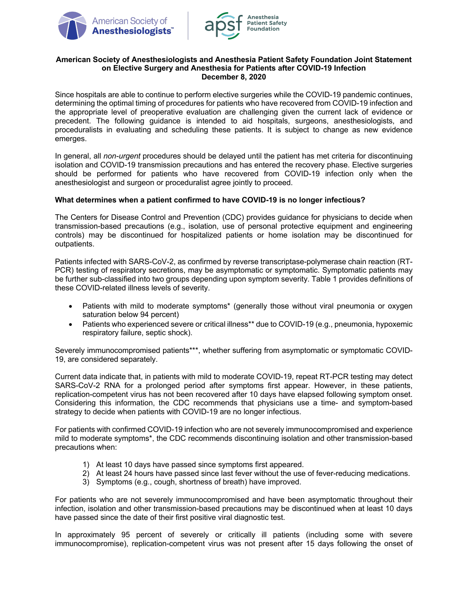



### **American Society of Anesthesiologists and Anesthesia Patient Safety Foundation Joint Statement on Elective Surgery and Anesthesia for Patients after COVID-19 Infection December 8, 2020**

Since hospitals are able to continue to perform elective surgeries while the COVID-19 pandemic continues, determining the optimal timing of procedures for patients who have recovered from COVID-19 infection and the appropriate level of preoperative evaluation are challenging given the current lack of evidence or precedent. The following guidance is intended to aid hospitals, surgeons, anesthesiologists, and proceduralists in evaluating and scheduling these patients. It is subject to change as new evidence emerges.

In general, all *non-urgent* procedures should be delayed until the patient has met criteria for discontinuing isolation and COVID-19 transmission precautions and has entered the recovery phase. Elective surgeries should be performed for patients who have recovered from COVID-19 infection only when the anesthesiologist and surgeon or proceduralist agree jointly to proceed.

### **What determines when a patient confirmed to have COVID-19 is no longer infectious?**

The Centers for Disease Control and Prevention (CDC) provides guidance for physicians to decide when transmission-based precautions (e.g., isolation, use of personal protective equipment and engineering controls) may be discontinued for hospitalized patients or home isolation may be discontinued for outpatients.

Patients infected with SARS-CoV-2, as confirmed by reverse transcriptase-polymerase chain reaction (RT-PCR) testing of respiratory secretions, may be asymptomatic or symptomatic. Symptomatic patients may be further sub-classified into two groups depending upon symptom severity. Table 1 provides definitions of these COVID-related illness levels of severity.

- Patients with mild to moderate symptoms\* (generally those without viral pneumonia or oxygen saturation below 94 percent)
- Patients who experienced severe or critical illness\*\* due to COVID-19 (e.g., pneumonia, hypoxemic respiratory failure, septic shock).

Severely immunocompromised patients\*\*\*, whether suffering from asymptomatic or symptomatic COVID-19, are considered separately.

Current data indicate that, in patients with mild to moderate COVID-19, repeat RT-PCR testing may detect SARS-CoV-2 RNA for a prolonged period after symptoms first appear. However, in these patients, replication-competent virus has not been recovered after 10 days have elapsed following symptom onset. Considering this information, the CDC recommends that physicians use a time- and symptom-based strategy to decide when patients with COVID-19 are no longer infectious.

For patients with confirmed COVID-19 infection who are not severely immunocompromised and experience mild to moderate symptoms\*, the CDC recommends discontinuing isolation and other transmission-based precautions when:

- 1) At least 10 days have passed since symptoms first appeared.
- 2) At least 24 hours have passed since last fever without the use of fever-reducing medications.
- 3) Symptoms (e.g., cough, shortness of breath) have improved.

For patients who are not severely immunocompromised and have been asymptomatic throughout their infection, isolation and other transmission-based precautions may be discontinued when at least 10 days have passed since the date of their first positive viral diagnostic test.

In approximately 95 percent of severely or critically ill patients (including some with severe immunocompromise), replication-competent virus was not present after 15 days following the onset of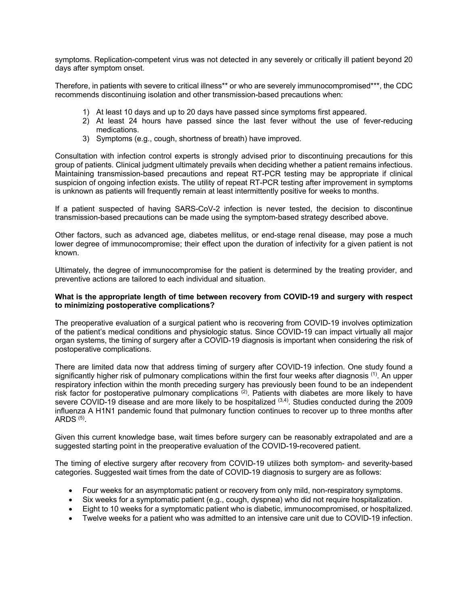symptoms. Replication-competent virus was not detected in any severely or critically ill patient beyond 20 days after symptom onset.

Therefore, in patients with severe to critical illness\*\* or who are severely immunocompromised\*\*\*, the CDC recommends discontinuing isolation and other transmission-based precautions when:

- 1) At least 10 days and up to 20 days have passed since symptoms first appeared.
- 2) At least 24 hours have passed since the last fever without the use of fever-reducing medications.
- 3) Symptoms (e.g., cough, shortness of breath) have improved.

Consultation with infection control experts is strongly advised prior to discontinuing precautions for this group of patients. Clinical judgment ultimately prevails when deciding whether a patient remains infectious. Maintaining transmission-based precautions and repeat RT-PCR testing may be appropriate if clinical suspicion of ongoing infection exists. The utility of repeat RT-PCR testing after improvement in symptoms is unknown as patients will frequently remain at least intermittently positive for weeks to months.

If a patient suspected of having SARS-CoV-2 infection is never tested, the decision to discontinue transmission-based precautions can be made using the symptom-based strategy described above.

Other factors, such as advanced age, diabetes mellitus, or end-stage renal disease, may pose a much lower degree of immunocompromise; their effect upon the duration of infectivity for a given patient is not known.

Ultimately, the degree of immunocompromise for the patient is determined by the treating provider, and preventive actions are tailored to each individual and situation.

#### **What is the appropriate length of time between recovery from COVID-19 and surgery with respect to minimizing postoperative complications?**

The preoperative evaluation of a surgical patient who is recovering from COVID-19 involves optimization of the patient's medical conditions and physiologic status. Since COVID-19 can impact virtually all major organ systems, the timing of surgery after a COVID-19 diagnosis is important when considering the risk of postoperative complications.

There are limited data now that address timing of surgery after COVID-19 infection. One study found a significantly higher risk of pulmonary complications within the first four weeks after diagnosis <sup>(1)</sup>. An upper respiratory infection within the month preceding surgery has previously been found to be an independent risk factor for postoperative pulmonary complications (2). Patients with diabetes are more likely to have severe COVID-19 disease and are more likely to be hospitalized (3,4). Studies conducted during the 2009 influenza A H1N1 pandemic found that pulmonary function continues to recover up to three months after ARDS  $(5)$ .

Given this current knowledge base, wait times before surgery can be reasonably extrapolated and are a suggested starting point in the preoperative evaluation of the COVID-19-recovered patient.

The timing of elective surgery after recovery from COVID-19 utilizes both symptom- and severity-based categories. Suggested wait times from the date of COVID-19 diagnosis to surgery are as follows:

- Four weeks for an asymptomatic patient or recovery from only mild, non-respiratory symptoms.
- Six weeks for a symptomatic patient (e.g., cough, dyspnea) who did not require hospitalization.
- Eight to 10 weeks for a symptomatic patient who is diabetic, immunocompromised, or hospitalized.
- Twelve weeks for a patient who was admitted to an intensive care unit due to COVID-19 infection.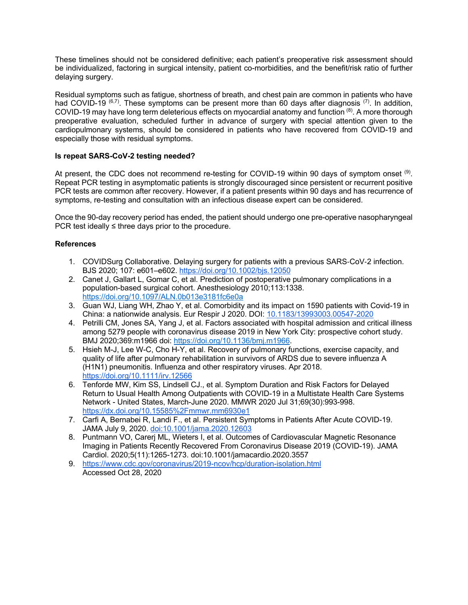These timelines should not be considered definitive; each patient's preoperative risk assessment should be individualized, factoring in surgical intensity, patient co-morbidities, and the benefit/risk ratio of further delaving surgery.

Residual symptoms such as fatigue, shortness of breath, and chest pain are common in patients who have had COVID-19  $^{(6,7)}$ . These symptoms can be present more than 60 days after diagnosis  $^{(7)}$ . In addition, COVID-19 may have long term deleterious effects on myocardial anatomy and function  $^{(8)}$ . A more thorough preoperative evaluation, scheduled further in advance of surgery with special attention given to the cardiopulmonary systems, should be considered in patients who have recovered from COVID-19 and especially those with residual symptoms.

# **Is repeat SARS-CoV-2 testing needed?**

At present, the CDC does not recommend re-testing for COVID-19 within 90 days of symptom onset <sup>(9)</sup>. Repeat PCR testing in asymptomatic patients is strongly discouraged since persistent or recurrent positive PCR tests are common after recovery. However, if a patient presents within 90 days and has recurrence of symptoms, re-testing and consultation with an infectious disease expert can be considered.

Once the 90-day recovery period has ended, the patient should undergo one pre-operative nasopharyngeal PCR test ideally  $\leq$  three days prior to the procedure.

### **References**

- 1. COVIDSurg Collaborative. Delaying surgery for patients with a previous SARS-CoV-2 infection. BJS 2020; 107: e601–e602. https://doi.org/10.1002/bjs.12050
- 2. Canet J, Gallart L, Gomar C, et al. Prediction of postoperative pulmonary complications in a population-based surgical cohort. Anesthesiology 2010;113:1338. https://doi.org/10.1097/ALN.0b013e3181fc6e0a
- 3. Guan WJ, Liang WH, Zhao Y, et al. Comorbidity and its impact on 1590 patients with Covid-19 in China: a nationwide analysis. Eur Respir J 2020. DOI: 10.1183/13993003.00547-2020
- 4. Petrilli CM, Jones SA, Yang J, et al. Factors associated with hospital admission and critical illness among 5279 people with coronavirus disease 2019 in New York City: prospective cohort study. BMJ 2020;369:m1966 doi: https://doi.org/10.1136/bmj.m1966.
- 5. Hsieh M-J, Lee W-C, Cho H-Y, et al. Recovery of pulmonary functions, exercise capacity, and quality of life after pulmonary rehabilitation in survivors of ARDS due to severe influenza A (H1N1) pneumonitis. Influenza and other respiratory viruses. Apr 2018. https://doi.org/10.1111/irv.12566
- 6. Tenforde MW, Kim SS, Lindsell CJ., et al. Symptom Duration and Risk Factors for Delayed Return to Usual Health Among Outpatients with COVID-19 in a Multistate Health Care Systems Network - United States, March-June 2020. MMWR 2020 Jul 31;69(30):993-998. https://dx.doi.org/10.15585%2Fmmwr.mm6930e1
- 7. Carfi A, Bernabei R, Landi F., et al. Persistent Symptoms in Patients After Acute COVID-19. JAMA July 9, 2020. doi:10.1001/jama.2020.12603
- 8. Puntmann VO, Carerj ML, Wieters I, et al. Outcomes of Cardiovascular Magnetic Resonance Imaging in Patients Recently Recovered From Coronavirus Disease 2019 (COVID-19). JAMA Cardiol. 2020;5(11):1265-1273. doi:10.1001/jamacardio.2020.3557
- 9. https://www.cdc.gov/coronavirus/2019-ncov/hcp/duration-isolation.html Accessed Oct 28, 2020